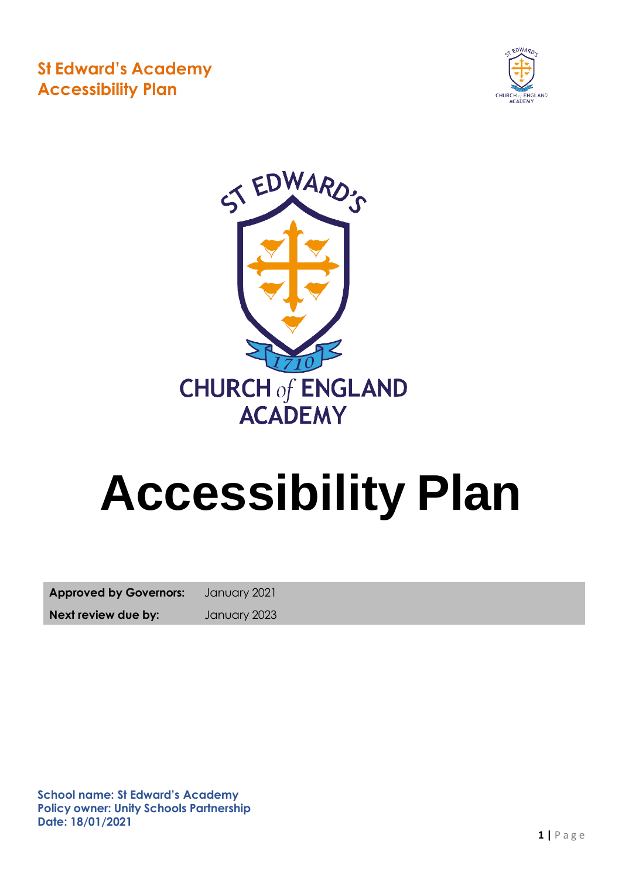



# **Accessibility Plan**

**Approved by Governors:** January 2021

**Next review due by:** January 2023

**School name: St Edward's Academy Policy owner: Unity Schools Partnership Date: 18/01/2021**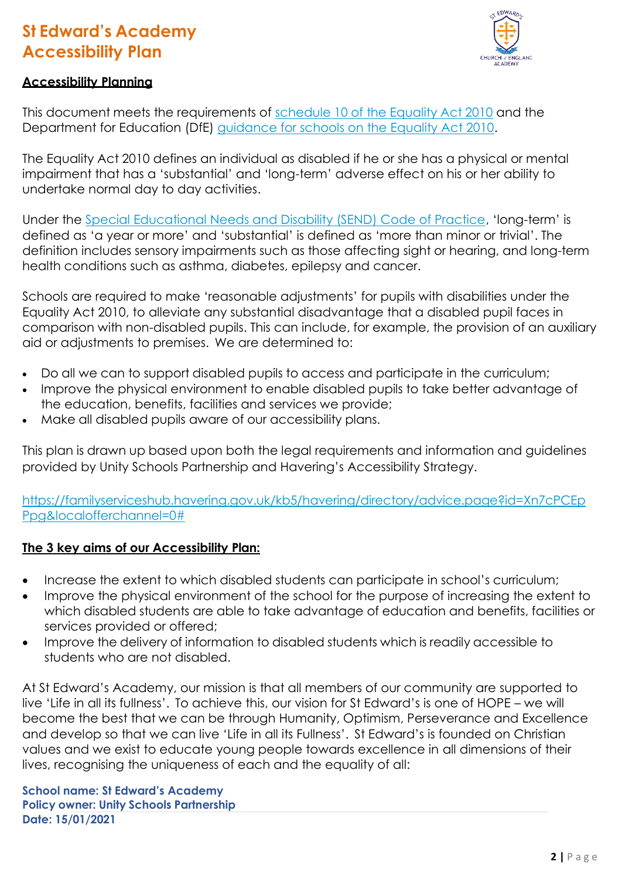

#### **Accessibility Planning**

This document meets the requirements of [schedule](http://www.legislation.gov.uk/ukpga/2010/15/schedule/10) 10 of the Equality Act 2010 and the Department for Education (DfE) [guidance for schools on the Equality Act 2010.](https://www.gov.uk/government/publications/equality-act-2010-advice-for-schools)

The Equality Act 2010 defines an individual as disabled if he or she has a physical or mental impairment that has a 'substantial' and 'long-term' adverse effect on his or her ability to undertake normal day to day activities.

Under the [Special Educational Needs and Disability \(SEND\) Code of Practice](https://www.gov.uk/government/publications/send-code-of-practice-0-to-25), 'long-term' is defined as 'a year or more' and 'substantial' is defined as 'more than minor or trivial'. The definition includes sensory impairments such as those affecting sight or hearing, and long-term health conditions such as asthma, diabetes, epilepsy and cancer.

Schools are required to make 'reasonable adjustments' for pupils with disabilities under the Equality Act 2010, to alleviate any substantial disadvantage that a disabled pupil faces in comparison with non-disabled pupils. This can include, for example, the provision of an auxiliary aid or adjustments to premises. We are determined to:

- Do all we can to support disabled pupils to access and participate in the curriculum;
- Improve the physical environment to enable disabled pupils to take better advantage of the education, benefits, facilities and services we provide;
- Make all disabled pupils aware of our accessibility plans.

This plan is drawn up based upon both the legal requirements and information and guidelines provided by Unity Schools Partnership and Havering's Accessibility Strategy.

[https://familyserviceshub.havering.gov.uk/kb5/havering/directory/advice.page?id=Xn7cPCEp](https://familyserviceshub.havering.gov.uk/kb5/havering/directory/advice.page?id=Xn7cPCEpPpg&localofferchannel=0) [Ppg&localofferchannel=0#](https://familyserviceshub.havering.gov.uk/kb5/havering/directory/advice.page?id=Xn7cPCEpPpg&localofferchannel=0)

#### **The 3 key aims of our Accessibility Plan:**

- Increase the extent to which disabled students can participate in school's curriculum;
- Improve the physical environment of the school for the purpose of increasing the extent to which disabled students are able to take advantage of education and benefits, facilities or services provided or offered;
- Improve the delivery of information to disabled students which is readily accessible to students who are not disabled.

At St Edward's Academy, our mission is that all members of our community are supported to live 'Life in all its fullness'. To achieve this, our vision for St Edward's is one of HOPE – we will become the best that we can be through Humanity, Optimism, Perseverance and Excellence and develop so that we can live 'Life in all its Fullness'. St Edward's is founded on Christian values and we exist to educate young people towards excellence in all dimensions of their lives, recognising the uniqueness of each and the equality of all:

**Date: 15/01/2021 School name: St Edward's Academy Policy owner: Unity Schools Partnership**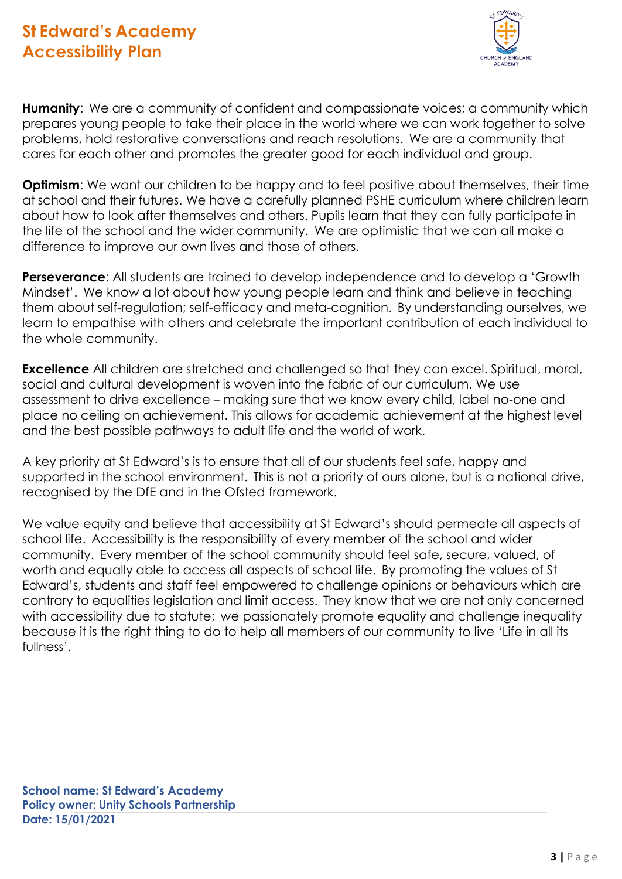

**Humanity**: We are a community of confident and compassionate voices; a community which prepares young people to take their place in the world where we can work together to solve problems, hold restorative conversations and reach resolutions. We are a community that cares for each other and promotes the greater good for each individual and group.

**Optimism:** We want our children to be happy and to feel positive about themselves, their time at school and their futures. We have a carefully planned PSHE curriculum where children learn about how to look after themselves and others. Pupils learn that they can fully participate in the life of the school and the wider community. We are optimistic that we can all make a difference to improve our own lives and those of others.

**Perseverance**: All students are trained to develop independence and to develop a 'Growth Mindset'. We know a lot about how young people learn and think and believe in teaching them about self-regulation; self-efficacy and meta-cognition. By understanding ourselves, we learn to empathise with others and celebrate the important contribution of each individual to the whole community.

**Excellence** All children are stretched and challenged so that they can excel. Spiritual, moral, social and cultural development is woven into the fabric of our curriculum. We use assessment to drive excellence – making sure that we know every child, label no-one and place no ceiling on achievement. This allows for academic achievement at the highest level and the best possible pathways to adult life and the world of work.

A key priority at St Edward's is to ensure that all of our students feel safe, happy and supported in the school environment. This is not a priority of ours alone, but is a national drive, recognised by the DfE and in the Ofsted framework.

We value equity and believe that accessibility at St Edward's should permeate all aspects of school life. Accessibility is the responsibility of every member of the school and wider community. Every member of the school community should feel safe, secure, valued, of worth and equally able to access all aspects of school life. By promoting the values of St Edward's, students and staff feel empowered to challenge opinions or behaviours which are contrary to equalities legislation and limit access. They know that we are not only concerned with accessibility due to statute; we passionately promote equality and challenge inequality because it is the right thing to do to help all members of our community to live 'Life in all its fullness'.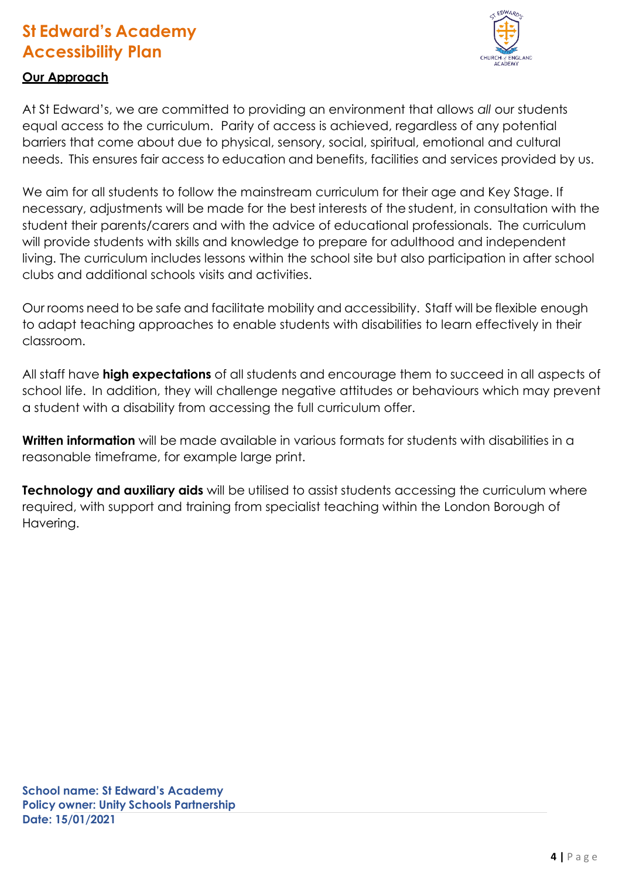

### **Our Approach**

At St Edward's, we are committed to providing an environment that allows *all* our students equal access to the curriculum. Parity of access is achieved, regardless of any potential barriers that come about due to physical, sensory, social, spiritual, emotional and cultural needs. This ensures fair access to education and benefits, facilities and services provided by us.

We aim for all students to follow the mainstream curriculum for their age and Key Stage. If necessary, adjustments will be made for the best interests of the student, in consultation with the student their parents/carers and with the advice of educational professionals. The curriculum will provide students with skills and knowledge to prepare for adulthood and independent living. The curriculum includes lessons within the school site but also participation in after school clubs and additional schools visits and activities.

Our rooms need to be safe and facilitate mobility and accessibility. Staff will be flexible enough to adapt teaching approaches to enable students with disabilities to learn effectively in their classroom.

All staff have **high expectations** of all students and encourage them to succeed in all aspects of school life. In addition, they will challenge negative attitudes or behaviours which may prevent a student with a disability from accessing the full curriculum offer.

**Written information** will be made available in various formats for students with disabilities in a reasonable timeframe, for example large print.

**Technology and auxiliary aids** will be utilised to assist students accessing the curriculum where required, with support and training from specialist teaching within the London Borough of Havering.